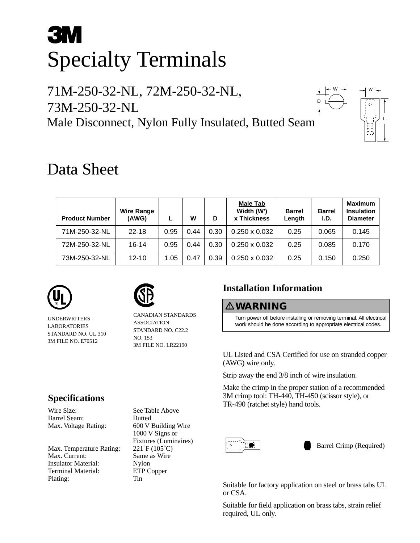# **3M** Specialty Terminals

## 71M-250-32-NL, 72M-250-32-NL, 73M-250-32-NL Male Disconnect, Nylon Fully Insulated, Butted Seam



D

# Data Sheet

| <b>Product Number</b> | <b>Wire Range</b><br>(AWG) |      | w    | D    | <b>Male Tab</b><br>Width (W')<br><b>x Thickness</b> | <b>Barrel</b><br>Length | <b>Barrel</b><br>I.D. | <b>Maximum</b><br><b>Insulation</b><br><b>Diameter</b> |
|-----------------------|----------------------------|------|------|------|-----------------------------------------------------|-------------------------|-----------------------|--------------------------------------------------------|
| 71M-250-32-NL         | $22 - 18$                  | 0.95 | 0.44 | 0.30 | $0.250 \times 0.032$                                | 0.25                    | 0.065                 | 0.145                                                  |
| 72M-250-32-NL         | 16-14                      | 0.95 | 0.44 | 0.30 | $0.250 \times 0.032$                                | 0.25                    | 0.085                 | 0.170                                                  |
| 73M-250-32-NL         | $12 - 10$                  | 1.05 | 0.47 | 0.39 | $0.250 \times 0.032$                                | 0.25                    | 0.150                 | 0.250                                                  |



UNDERWRITERS LABORATORIES STANDARD NO. UL 310 3M FILE NO. E70512



CANADIAN STANDARDS ASSOCIATION STANDARD NO. C22.2 NO. 153 3M FILE NO. LR22190

## **Installation Information**

-**WARNING**

Turn power off before installing or removing terminal. All electrical work should be done according to appropriate electrical codes.

UL Listed and CSA Certified for use on stranded copper (AWG) wire only.

Strip away the end 3/8 inch of wire insulation.

Make the crimp in the proper station of a recommended 3M crimp tool: TH-440, TH-450 (scissor style), or TR-490 (ratchet style) hand tools.



Barrel Crimp (Required)

Suitable for factory application on steel or brass tabs UL or CSA.

Suitable for field application on brass tabs, strain relief required, UL only.

## **Specifications**

Wire Size: See Table Above Barrel Seam: Butted

Max. Temperature Rating: 221°F (105°C) Max. Current: Same as Wire Insulator Material: Nylon Terminal Material: ETP Copper Plating: Tin

Max. Voltage Rating: 600 V Building Wire 1000 V Signs or Fixtures (Luminaires)